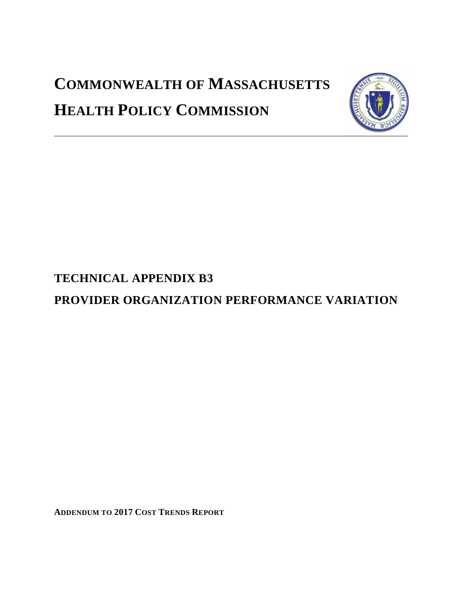# **COMMONWEALTH OF MASSACHUSETTS HEALTH POLICY COMMISSION**



# **TECHNICAL APPENDIX B3**

**PROVIDER ORGANIZATION PERFORMANCE VARIATION**

**ADDENDUM TO 2017 COST TRENDS REPORT**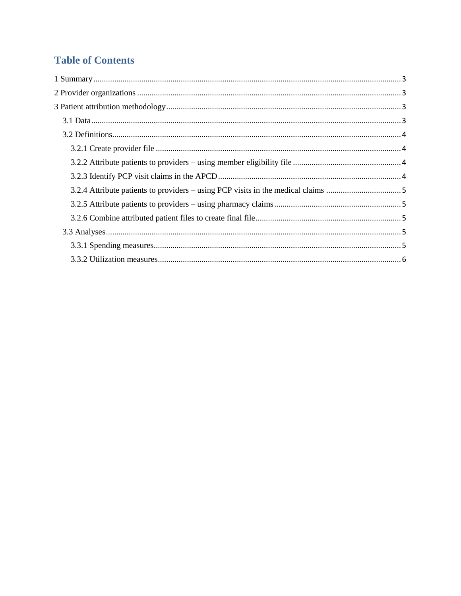# **Table of Contents**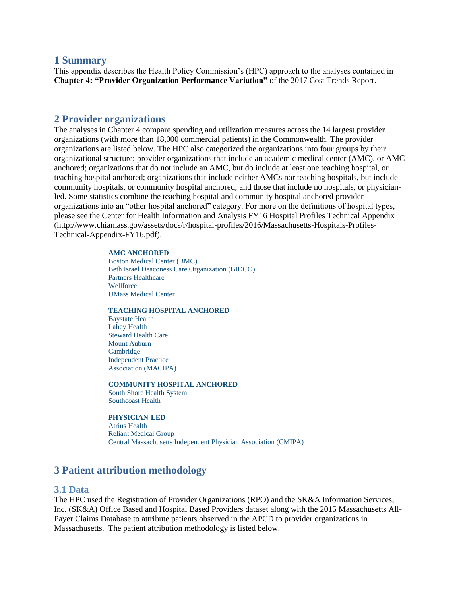# <span id="page-2-0"></span>**1 Summary**

This appendix describes the Health Policy Commission's (HPC) approach to the analyses contained in **Chapter 4: "Provider Organization Performance Variation"** of the 2017 Cost Trends Report.

# <span id="page-2-1"></span>**2 Provider organizations**

The analyses in Chapter 4 compare spending and utilization measures across the 14 largest provider organizations (with more than 18,000 commercial patients) in the Commonwealth. The provider organizations are listed below. The HPC also categorized the organizations into four groups by their organizational structure: provider organizations that include an academic medical center (AMC), or AMC anchored; organizations that do not include an AMC, but do include at least one teaching hospital, or teaching hospital anchored; organizations that include neither AMCs nor teaching hospitals, but include community hospitals, or community hospital anchored; and those that include no hospitals, or physicianled. Some statistics combine the teaching hospital and community hospital anchored provider organizations into an "other hospital anchored" category. For more on the definitions of hospital types, please see the Center for Health Information and Analysis FY16 Hospital Profiles Technical Appendix (http://www.chiamass.gov/assets/docs/r/hospital-profiles/2016/Massachusetts-Hospitals-Profiles-Technical-Appendix-FY16.pdf).

#### **AMC ANCHORED**

Boston Medical Center (BMC) Beth Israel Deaconess Care Organization (BIDCO) Partners Healthcare **Wellforce** UMass Medical Center

#### **TEACHING HOSPITAL ANCHORED**

Baystate Health Lahey Health Steward Health Care Mount Auburn Cambridge Independent Practice Association (MACIPA)

#### **COMMUNITY HOSPITAL ANCHORED**

South Shore Health System Southcoast Health

#### **PHYSICIAN-LED**

Atrius Health Reliant Medical Group Central Massachusetts Independent Physician Association (CMIPA)

# <span id="page-2-2"></span>**3 Patient attribution methodology**

# <span id="page-2-3"></span>**3.1 Data**

The HPC used the Registration of Provider Organizations (RPO) and the SK&A Information Services, Inc. (SK&A) Office Based and Hospital Based Providers dataset along with the 2015 Massachusetts All-Payer Claims Database to attribute patients observed in the APCD to provider organizations in Massachusetts. The patient attribution methodology is listed below.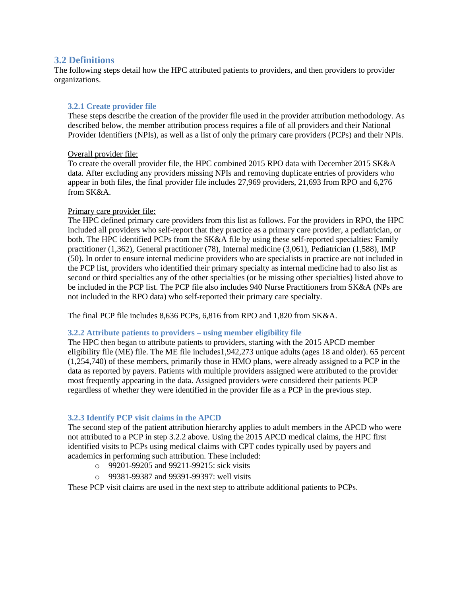# <span id="page-3-0"></span>**3.2 Definitions**

The following steps detail how the HPC attributed patients to providers, and then providers to provider organizations.

# <span id="page-3-1"></span>**3.2.1 Create provider file**

These steps describe the creation of the provider file used in the provider attribution methodology. As described below, the member attribution process requires a file of all providers and their National Provider Identifiers (NPIs), as well as a list of only the primary care providers (PCPs) and their NPIs.

# Overall provider file:

To create the overall provider file, the HPC combined 2015 RPO data with December 2015 SK&A data. After excluding any providers missing NPIs and removing duplicate entries of providers who appear in both files, the final provider file includes 27,969 providers, 21,693 from RPO and 6,276 from SK&A.

# Primary care provider file:

The HPC defined primary care providers from this list as follows. For the providers in RPO, the HPC included all providers who self-report that they practice as a primary care provider, a pediatrician, or both. The HPC identified PCPs from the SK&A file by using these self-reported specialties: Family practitioner (1,362), General practitioner (78), Internal medicine (3,061), Pediatrician (1,588), IMP (50). In order to ensure internal medicine providers who are specialists in practice are not included in the PCP list, providers who identified their primary specialty as internal medicine had to also list as second or third specialties any of the other specialties (or be missing other specialties) listed above to be included in the PCP list. The PCP file also includes 940 Nurse Practitioners from SK&A (NPs are not included in the RPO data) who self-reported their primary care specialty.

The final PCP file includes 8,636 PCPs, 6,816 from RPO and 1,820 from SK&A.

# <span id="page-3-2"></span>**3.2.2 Attribute patients to providers – using member eligibility file**

The HPC then began to attribute patients to providers, starting with the 2015 APCD member eligibility file (ME) file. The ME file includes1,942,273 unique adults (ages 18 and older). 65 percent (1,254,740) of these members, primarily those in HMO plans, were already assigned to a PCP in the data as reported by payers. Patients with multiple providers assigned were attributed to the provider most frequently appearing in the data. Assigned providers were considered their patients PCP regardless of whether they were identified in the provider file as a PCP in the previous step.

# <span id="page-3-3"></span>**3.2.3 Identify PCP visit claims in the APCD**

The second step of the patient attribution hierarchy applies to adult members in the APCD who were not attributed to a PCP in step 3.2.2 above. Using the 2015 APCD medical claims, the HPC first identified visits to PCPs using medical claims with CPT codes typically used by payers and academics in performing such attribution. These included:

- o 99201-99205 and 99211-99215: sick visits
- o 99381-99387 and 99391-99397: well visits

These PCP visit claims are used in the next step to attribute additional patients to PCPs.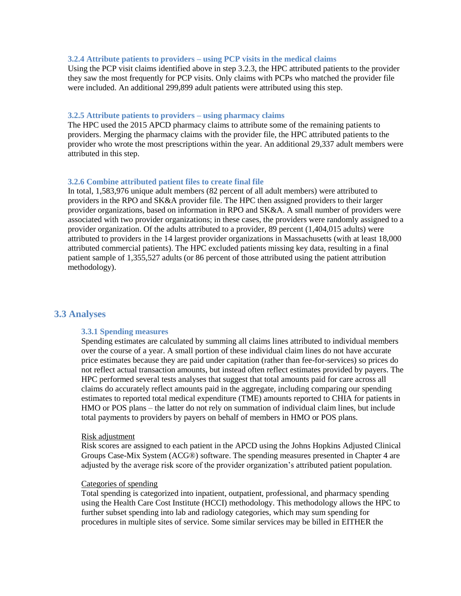#### <span id="page-4-0"></span>**3.2.4 Attribute patients to providers – using PCP visits in the medical claims**

Using the PCP visit claims identified above in step 3.2.3, the HPC attributed patients to the provider they saw the most frequently for PCP visits. Only claims with PCPs who matched the provider file were included. An additional 299,899 adult patients were attributed using this step.

## <span id="page-4-1"></span>**3.2.5 Attribute patients to providers – using pharmacy claims**

The HPC used the 2015 APCD pharmacy claims to attribute some of the remaining patients to providers. Merging the pharmacy claims with the provider file, the HPC attributed patients to the provider who wrote the most prescriptions within the year. An additional 29,337 adult members were attributed in this step.

## <span id="page-4-2"></span>**3.2.6 Combine attributed patient files to create final file**

In total, 1,583,976 unique adult members (82 percent of all adult members) were attributed to providers in the RPO and SK&A provider file. The HPC then assigned providers to their larger provider organizations, based on information in RPO and SK&A. A small number of providers were associated with two provider organizations; in these cases, the providers were randomly assigned to a provider organization. Of the adults attributed to a provider, 89 percent (1,404,015 adults) were attributed to providers in the 14 largest provider organizations in Massachusetts (with at least 18,000 attributed commercial patients). The HPC excluded patients missing key data, resulting in a final patient sample of 1,355,527 adults (or 86 percent of those attributed using the patient attribution methodology).

# <span id="page-4-4"></span><span id="page-4-3"></span>**3.3 Analyses**

#### **3.3.1 Spending measures**

Spending estimates are calculated by summing all claims lines attributed to individual members over the course of a year. A small portion of these individual claim lines do not have accurate price estimates because they are paid under capitation (rather than fee-for-services) so prices do not reflect actual transaction amounts, but instead often reflect estimates provided by payers. The HPC performed several tests analyses that suggest that total amounts paid for care across all claims do accurately reflect amounts paid in the aggregate, including comparing our spending estimates to reported total medical expenditure (TME) amounts reported to CHIA for patients in HMO or POS plans – the latter do not rely on summation of individual claim lines, but include total payments to providers by payers on behalf of members in HMO or POS plans.

#### Risk adjustment

Risk scores are assigned to each patient in the APCD using the Johns Hopkins Adjusted Clinical Groups Case-Mix System (ACG®) software. The spending measures presented in Chapter 4 are adjusted by the average risk score of the provider organization's attributed patient population.

# Categories of spending

Total spending is categorized into inpatient, outpatient, professional, and pharmacy spending using the Health Care Cost Institute (HCCI) methodology. This methodology allows the HPC to further subset spending into lab and radiology categories, which may sum spending for procedures in multiple sites of service. Some similar services may be billed in EITHER the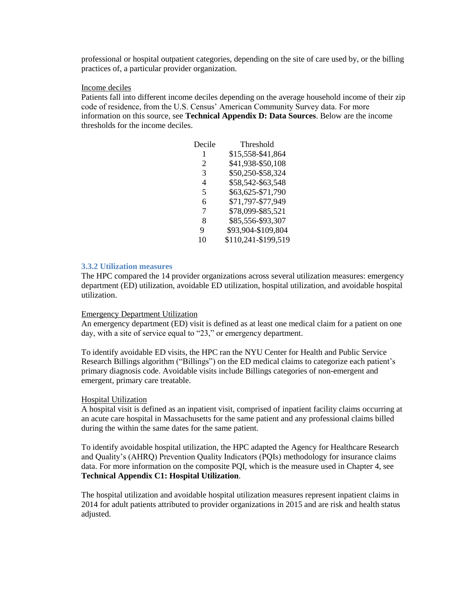professional or hospital outpatient categories, depending on the site of care used by, or the billing practices of, a particular provider organization.

#### Income deciles

Patients fall into different income deciles depending on the average household income of their zip code of residence, from the U.S. Census' American Community Survey data. For more information on this source, see **Technical Appendix D: Data Sources**. Below are the income thresholds for the income deciles.

| Decile | Threshold           |
|--------|---------------------|
| 1      | \$15,558-\$41,864   |
| 2      | \$41,938-\$50,108   |
| 3      | \$50,250-\$58,324   |
| 4      | \$58,542-\$63,548   |
| 5      | \$63,625-\$71,790   |
| 6      | \$71,797-\$77,949   |
| 7      | \$78,099-\$85,521   |
| 8      | \$85,556-\$93,307   |
| 9      | \$93,904-\$109,804  |
| 10     | \$110,241-\$199,519 |

#### <span id="page-5-0"></span>**3.3.2 Utilization measures**

The HPC compared the 14 provider organizations across several utilization measures: emergency department (ED) utilization, avoidable ED utilization, hospital utilization, and avoidable hospital utilization.

#### Emergency Department Utilization

An emergency department (ED) visit is defined as at least one medical claim for a patient on one day, with a site of service equal to "23," or emergency department.

To identify avoidable ED visits, the HPC ran the NYU Center for Health and Public Service Research Billings algorithm ("Billings") on the ED medical claims to categorize each patient's primary diagnosis code. Avoidable visits include Billings categories of non-emergent and emergent, primary care treatable.

#### Hospital Utilization

A hospital visit is defined as an inpatient visit, comprised of inpatient facility claims occurring at an acute care hospital in Massachusetts for the same patient and any professional claims billed during the within the same dates for the same patient.

To identify avoidable hospital utilization, the HPC adapted the Agency for Healthcare Research and Quality's (AHRQ) Prevention Quality Indicators (PQIs) methodology for insurance claims data. For more information on the composite PQI, which is the measure used in Chapter 4, see **Technical Appendix C1: Hospital Utilization**.

The hospital utilization and avoidable hospital utilization measures represent inpatient claims in 2014 for adult patients attributed to provider organizations in 2015 and are risk and health status adjusted.